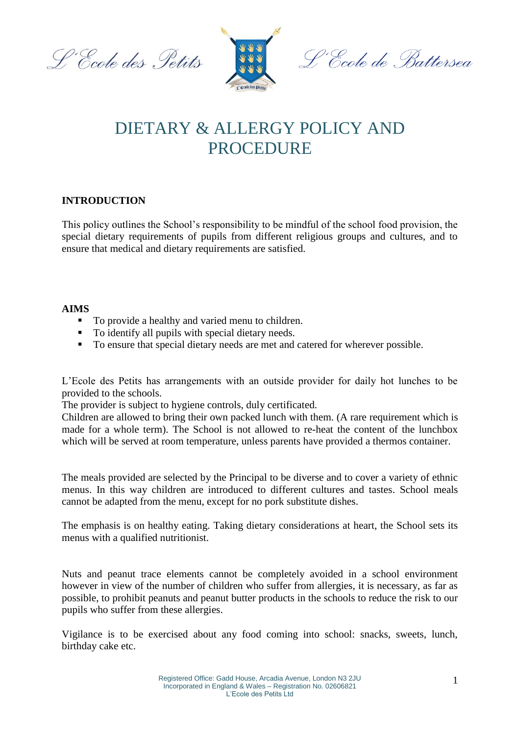L'École des Petits



<sup>o.</sup>Ccole de Battersea

## DIETARY & ALLERGY POLICY AND PROCEDURE

## **INTRODUCTION**

This policy outlines the School's responsibility to be mindful of the school food provision, the special dietary requirements of pupils from different religious groups and cultures, and to ensure that medical and dietary requirements are satisfied.

## **AIMS**

- To provide a healthy and varied menu to children.
- To identify all pupils with special dietary needs.
- To ensure that special dietary needs are met and catered for wherever possible.

L'Ecole des Petits has arrangements with an outside provider for daily hot lunches to be provided to the schools.

The provider is subject to hygiene controls, duly certificated.

Children are allowed to bring their own packed lunch with them. (A rare requirement which is made for a whole term). The School is not allowed to re-heat the content of the lunchbox which will be served at room temperature, unless parents have provided a thermos container.

The meals provided are selected by the Principal to be diverse and to cover a variety of ethnic menus. In this way children are introduced to different cultures and tastes. School meals cannot be adapted from the menu, except for no pork substitute dishes.

The emphasis is on healthy eating. Taking dietary considerations at heart, the School sets its menus with a qualified nutritionist.

Nuts and peanut trace elements cannot be completely avoided in a school environment however in view of the number of children who suffer from allergies, it is necessary, as far as possible, to prohibit peanuts and peanut butter products in the schools to reduce the risk to our pupils who suffer from these allergies.

Vigilance is to be exercised about any food coming into school: snacks, sweets, lunch, birthday cake etc.